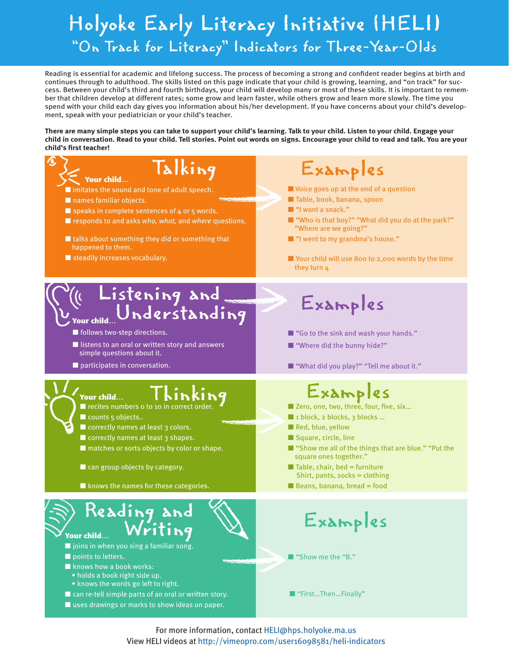## Holyoke Early Literacy Initiative (HELI) "On Track for Literacy" Indicators for Three-Year-Olds

Reading is essential for academic and lifelong success. The process of becoming a strong and confident reader begins at birth and continues through to adulthood. The skills listed on this page indicate that your child is growing, learning, and "on track" for success. Between your child's third and fourth birthdays, your child will develop many or most of these skills. It is important to remember that children develop at different rates; some grow and learn faster, while others grow and learn more slowly. The time you spend with your child each day gives you information about his/her development. If you have concerns about your child's development, speak with your pediatrician or your child's teacher.

**There are many simple steps you can take to support your child's learning. Talk to your child. Listen to your child. Engage your child in conversation. Read to your child. Tell stories. Point out words on signs. Encourage your child to read and talk. You are your child's first teacher!**



For more information, contact HELI@hps.holyoke.ma.us View HELI videos at http://vimeopro.com/user16098581/heli-indicators